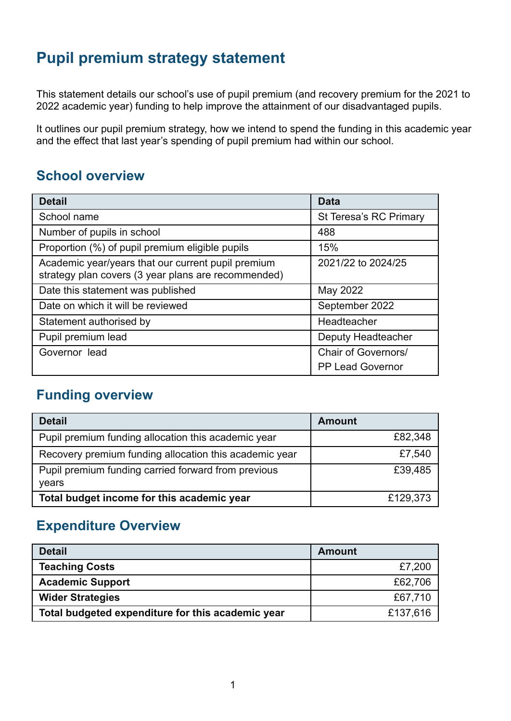## **Pupil premium strategy statement**

This statement details our school's use of pupil premium (and recovery premium for the 2021 to 2022 academic year) funding to help improve the attainment of our disadvantaged pupils.

It outlines our pupil premium strategy, how we intend to spend the funding in this academic year and the effect that last year's spending of pupil premium had within our school.

### **School overview**

| <b>Detail</b>                                                                                             | <b>Data</b>             |
|-----------------------------------------------------------------------------------------------------------|-------------------------|
| School name                                                                                               | St Teresa's RC Primary  |
| Number of pupils in school                                                                                | 488                     |
| Proportion (%) of pupil premium eligible pupils                                                           | 15%                     |
| Academic year/years that our current pupil premium<br>strategy plan covers (3 year plans are recommended) | 2021/22 to 2024/25      |
| Date this statement was published                                                                         | May 2022                |
| Date on which it will be reviewed                                                                         | September 2022          |
| Statement authorised by                                                                                   | Headteacher             |
| Pupil premium lead                                                                                        | Deputy Headteacher      |
| Governor lead                                                                                             | Chair of Governors/     |
|                                                                                                           | <b>PP Lead Governor</b> |

### **Funding overview**

| <b>Detail</b>                                                | <b>Amount</b> |
|--------------------------------------------------------------|---------------|
| Pupil premium funding allocation this academic year          | £82,348       |
| Recovery premium funding allocation this academic year       | £7,540        |
| Pupil premium funding carried forward from previous<br>years | £39,485       |
| Total budget income for this academic year                   | £129,373      |

#### **Expenditure Overview**

| <b>Detail</b>                                     | <b>Amount</b> |
|---------------------------------------------------|---------------|
| <b>Teaching Costs</b>                             | £7,200        |
| <b>Academic Support</b>                           | £62,706       |
| <b>Wider Strategies</b>                           | £67,710       |
| Total budgeted expenditure for this academic year | £137,616      |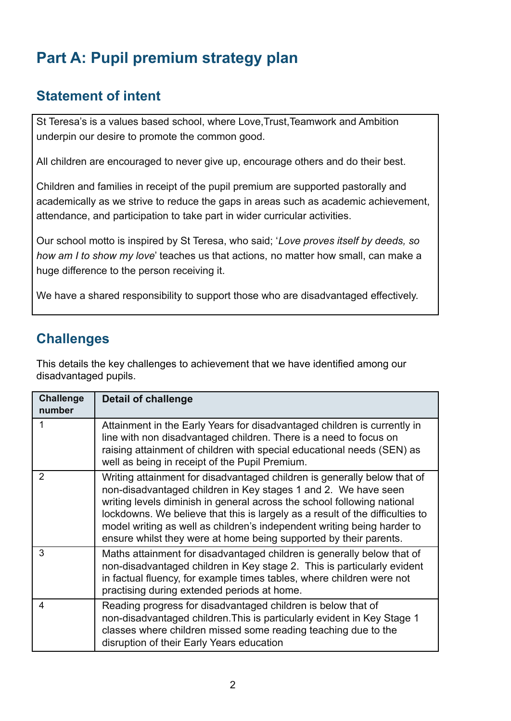# **Part A: Pupil premium strategy plan**

### **Statement of intent**

St Teresa's is a values based school, where Love,Trust,Teamwork and Ambition underpin our desire to promote the common good.

All children are encouraged to never give up, encourage others and do their best.

Children and families in receipt of the pupil premium are supported pastorally and academically as we strive to reduce the gaps in areas such as academic achievement, attendance, and participation to take part in wider curricular activities.

Our school motto is inspired by St Teresa, who said; '*Love proves itself by deeds, so how am I to show my love*' teaches us that actions, no matter how small, can make a huge difference to the person receiving it.

We have a shared responsibility to support those who are disadvantaged effectively.

### **Challenges**

This details the key challenges to achievement that we have identified among our disadvantaged pupils.

| <b>Challenge</b><br>number | <b>Detail of challenge</b>                                                                                                                                                                                                                                                                                                                                                                                                                             |
|----------------------------|--------------------------------------------------------------------------------------------------------------------------------------------------------------------------------------------------------------------------------------------------------------------------------------------------------------------------------------------------------------------------------------------------------------------------------------------------------|
|                            | Attainment in the Early Years for disadvantaged children is currently in<br>line with non disadvantaged children. There is a need to focus on<br>raising attainment of children with special educational needs (SEN) as<br>well as being in receipt of the Pupil Premium.                                                                                                                                                                              |
| $\mathcal{P}$              | Writing attainment for disadvantaged children is generally below that of<br>non-disadvantaged children in Key stages 1 and 2. We have seen<br>writing levels diminish in general across the school following national<br>lockdowns. We believe that this is largely as a result of the difficulties to<br>model writing as well as children's independent writing being harder to<br>ensure whilst they were at home being supported by their parents. |
| 3                          | Maths attainment for disadvantaged children is generally below that of<br>non-disadvantaged children in Key stage 2. This is particularly evident<br>in factual fluency, for example times tables, where children were not<br>practising during extended periods at home.                                                                                                                                                                              |
| 4                          | Reading progress for disadvantaged children is below that of<br>non-disadvantaged children. This is particularly evident in Key Stage 1<br>classes where children missed some reading teaching due to the<br>disruption of their Early Years education                                                                                                                                                                                                 |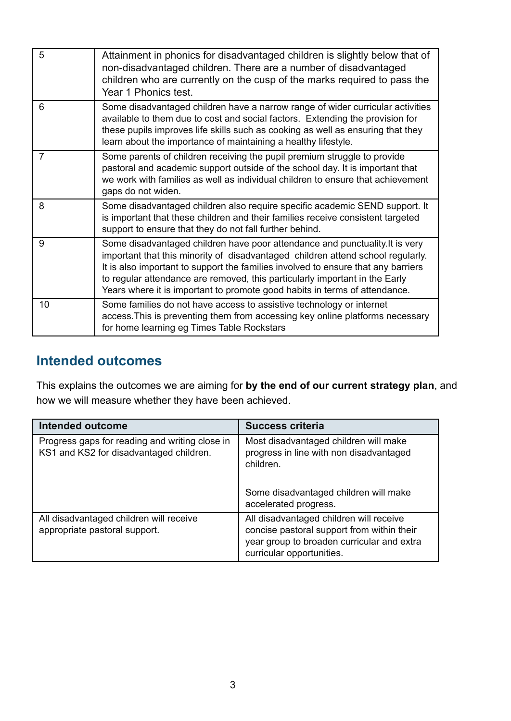| 5  | Attainment in phonics for disadvantaged children is slightly below that of<br>non-disadvantaged children. There are a number of disadvantaged<br>children who are currently on the cusp of the marks required to pass the<br>Year 1 Phonics test.                                                                                                                                                                 |
|----|-------------------------------------------------------------------------------------------------------------------------------------------------------------------------------------------------------------------------------------------------------------------------------------------------------------------------------------------------------------------------------------------------------------------|
| 6  | Some disadvantaged children have a narrow range of wider curricular activities<br>available to them due to cost and social factors. Extending the provision for<br>these pupils improves life skills such as cooking as well as ensuring that they<br>learn about the importance of maintaining a healthy lifestyle.                                                                                              |
| 7  | Some parents of children receiving the pupil premium struggle to provide<br>pastoral and academic support outside of the school day. It is important that<br>we work with families as well as individual children to ensure that achievement<br>gaps do not widen.                                                                                                                                                |
| 8  | Some disadvantaged children also require specific academic SEND support. It<br>is important that these children and their families receive consistent targeted<br>support to ensure that they do not fall further behind.                                                                                                                                                                                         |
| 9  | Some disadvantaged children have poor attendance and punctuality. It is very<br>important that this minority of disadvantaged children attend school regularly.<br>It is also important to support the families involved to ensure that any barriers<br>to regular attendance are removed, this particularly important in the Early<br>Years where it is important to promote good habits in terms of attendance. |
| 10 | Some families do not have access to assistive technology or internet<br>access. This is preventing them from accessing key online platforms necessary<br>for home learning eg Times Table Rockstars                                                                                                                                                                                                               |

## **Intended outcomes**

This explains the outcomes we are aiming for **by the end of our current strategy plan**, and how we will measure whether they have been achieved.

| <b>Intended outcome</b>                                                                   | <b>Success criteria</b>                                                                                                                                          |
|-------------------------------------------------------------------------------------------|------------------------------------------------------------------------------------------------------------------------------------------------------------------|
| Progress gaps for reading and writing close in<br>KS1 and KS2 for disadvantaged children. | Most disadvantaged children will make<br>progress in line with non disadvantaged<br>children.<br>Some disadvantaged children will make                           |
|                                                                                           | accelerated progress.                                                                                                                                            |
| All disadvantaged children will receive<br>appropriate pastoral support.                  | All disadvantaged children will receive<br>concise pastoral support from within their<br>year group to broaden curricular and extra<br>curricular opportunities. |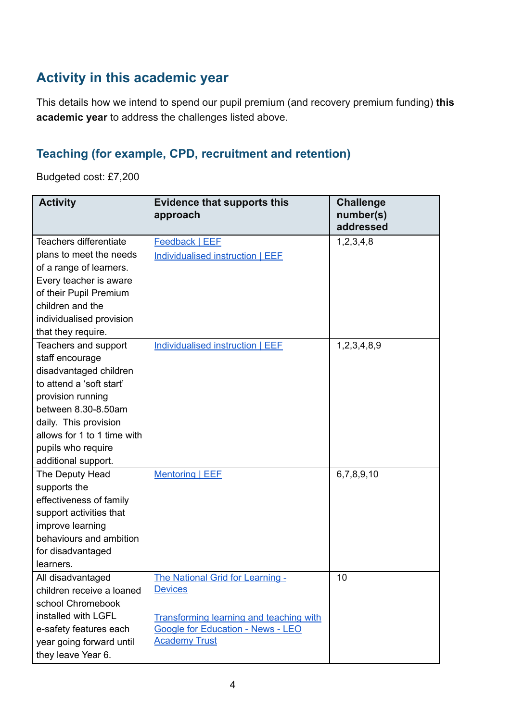## **Activity in this academic year**

This details how we intend to spend our pupil premium (and recovery premium funding) **this academic year** to address the challenges listed above.

#### **Teaching (for example, CPD, recruitment and retention)**

Budgeted cost: £7,200

| <b>Activity</b>             | <b>Evidence that supports this</b><br>approach | <b>Challenge</b><br>number(s) |
|-----------------------------|------------------------------------------------|-------------------------------|
|                             |                                                | addressed                     |
| Teachers differentiate      | <b>Feedback   EEF</b>                          | 1,2,3,4,8                     |
| plans to meet the needs     | Individualised instruction   EEF               |                               |
| of a range of learners.     |                                                |                               |
| Every teacher is aware      |                                                |                               |
| of their Pupil Premium      |                                                |                               |
| children and the            |                                                |                               |
| individualised provision    |                                                |                               |
| that they require.          |                                                |                               |
| Teachers and support        | Individualised instruction   EEF               | 1,2,3,4,8,9                   |
| staff encourage             |                                                |                               |
| disadvantaged children      |                                                |                               |
| to attend a 'soft start'    |                                                |                               |
| provision running           |                                                |                               |
| between 8.30-8.50am         |                                                |                               |
| daily. This provision       |                                                |                               |
| allows for 1 to 1 time with |                                                |                               |
| pupils who require          |                                                |                               |
| additional support.         |                                                |                               |
| The Deputy Head             | <b>Mentoring   EEF</b>                         | 6,7,8,9,10                    |
| supports the                |                                                |                               |
| effectiveness of family     |                                                |                               |
| support activities that     |                                                |                               |
| improve learning            |                                                |                               |
| behaviours and ambition     |                                                |                               |
| for disadvantaged           |                                                |                               |
| learners.                   |                                                |                               |
| All disadvantaged           | The National Grid for Learning -               | 10                            |
| children receive a loaned   | <b>Devices</b>                                 |                               |
| school Chromebook           |                                                |                               |
| installed with LGFL         | <b>Transforming learning and teaching with</b> |                               |
| e-safety features each      | <b>Google for Education - News - LEO</b>       |                               |
| year going forward until    | <b>Academy Trust</b>                           |                               |
| they leave Year 6.          |                                                |                               |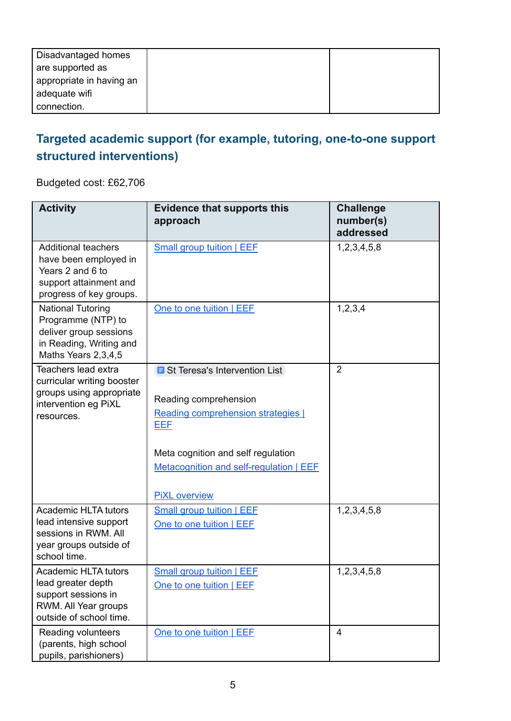| Disadvantaged homes      |  |
|--------------------------|--|
| are supported as         |  |
| appropriate in having an |  |
| adequate wifi            |  |
| connection.              |  |

## **Targeted academic support (for example, tutoring, one-to-one support structured interventions)**

Budgeted cost: £62,706

| <b>Activity</b>                                                                                                              | <b>Evidence that supports this</b><br>approach                                                                                                                                                                                      | <b>Challenge</b><br>number(s)<br>addressed |
|------------------------------------------------------------------------------------------------------------------------------|-------------------------------------------------------------------------------------------------------------------------------------------------------------------------------------------------------------------------------------|--------------------------------------------|
| <b>Additional teachers</b><br>have been employed in<br>Years 2 and 6 to<br>support attainment and<br>progress of key groups. | Small group tuition   EEF                                                                                                                                                                                                           | 1,2,3,4,5,8                                |
| <b>National Tutoring</b><br>Programme (NTP) to<br>deliver group sessions<br>in Reading, Writing and<br>Maths Years 2,3,4,5   | One to one tuition   EEE                                                                                                                                                                                                            | 1,2,3,4                                    |
| Teachers lead extra<br>curricular writing booster<br>groups using appropriate<br>intervention eg PiXL<br>resources.          | <b>B</b> St Teresa's Intervention List<br>Reading comprehension<br>Reading comprehension strategies [<br><b>EEF</b><br>Meta cognition and self regulation<br><b>Metacognition and self-regulation   EEF</b><br><b>PiXL</b> overview | $\overline{2}$                             |
| <b>Academic HLTA tutors</b><br>lead intensive support<br>sessions in RWM, All<br>year groups outside of<br>school time.      | <b>Small group tuition I EEE</b><br>One to one tuition   EEE                                                                                                                                                                        | 1,2,3,4,5,8                                |
| <b>Academic HLTA tutors</b><br>lead greater depth<br>support sessions in<br>RWM. All Year groups<br>outside of school time.  | <b>Small group tuition   EEF</b><br>One to one tuition   EEF                                                                                                                                                                        | 1,2,3,4,5,8                                |
| Reading volunteers<br>(parents, high school<br>pupils, parishioners)                                                         | One to one tuition   EEF                                                                                                                                                                                                            | $\overline{4}$                             |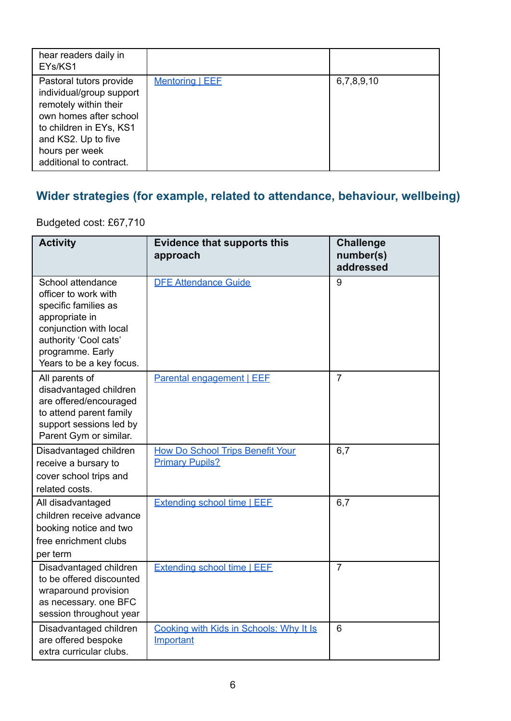| hear readers daily in<br>EYs/KS1                                                                                                                                                                      |                        |            |
|-------------------------------------------------------------------------------------------------------------------------------------------------------------------------------------------------------|------------------------|------------|
| Pastoral tutors provide<br>individual/group support<br>remotely within their<br>own homes after school<br>to children in EYs, KS1<br>and KS2. Up to five<br>hours per week<br>additional to contract. | <b>Mentoring   EEF</b> | 6,7,8,9,10 |

## **Wider strategies (for example, related to attendance, behaviour, wellbeing)**

Budgeted cost: £67,710

| <b>Activity</b>                                                                                                                                                                        | <b>Evidence that supports this</b><br>approach | <b>Challenge</b><br>number(s)<br>addressed |
|----------------------------------------------------------------------------------------------------------------------------------------------------------------------------------------|------------------------------------------------|--------------------------------------------|
| School attendance<br>officer to work with<br>specific families as<br>appropriate in<br>conjunction with local<br>authority 'Cool cats'<br>programme. Early<br>Years to be a key focus. | <b>DFE Attendance Guide</b>                    | 9                                          |
| All parents of<br>disadvantaged children<br>are offered/encouraged<br>to attend parent family<br>support sessions led by<br>Parent Gym or similar.                                     | <b>Parental engagement   EEF</b>               | $\overline{7}$                             |
| Disadvantaged children                                                                                                                                                                 | <b>How Do School Trips Benefit Your</b>        | 6,7                                        |
| receive a bursary to                                                                                                                                                                   | <b>Primary Pupils?</b>                         |                                            |
| cover school trips and                                                                                                                                                                 |                                                |                                            |
| related costs.                                                                                                                                                                         |                                                |                                            |
| All disadvantaged<br>children receive advance                                                                                                                                          | <b>Extending school time   EEF</b>             | 6,7                                        |
| booking notice and two                                                                                                                                                                 |                                                |                                            |
| free enrichment clubs                                                                                                                                                                  |                                                |                                            |
| per term                                                                                                                                                                               |                                                |                                            |
| Disadvantaged children                                                                                                                                                                 | <b>Extending school time   EEF</b>             | $\overline{7}$                             |
| to be offered discounted                                                                                                                                                               |                                                |                                            |
| wraparound provision                                                                                                                                                                   |                                                |                                            |
| as necessary. one BFC                                                                                                                                                                  |                                                |                                            |
| session throughout year                                                                                                                                                                |                                                |                                            |
| Disadvantaged children                                                                                                                                                                 | Cooking with Kids in Schools: Why It Is        | 6                                          |
| are offered bespoke                                                                                                                                                                    | Important                                      |                                            |
| extra curricular clubs.                                                                                                                                                                |                                                |                                            |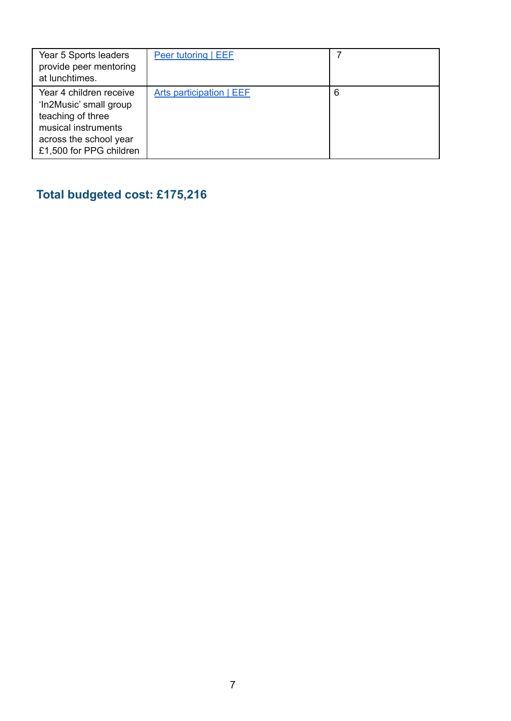| Year 5 Sports leaders<br>provide peer mentoring<br>at lunchtimes.                                                                                  | Peer tutoring   EEF      |   |
|----------------------------------------------------------------------------------------------------------------------------------------------------|--------------------------|---|
| Year 4 children receive<br>'In2Music' small group<br>teaching of three<br>musical instruments<br>across the school year<br>£1,500 for PPG children | Arts participation   EEF | 6 |

**Total budgeted cost: £175,216**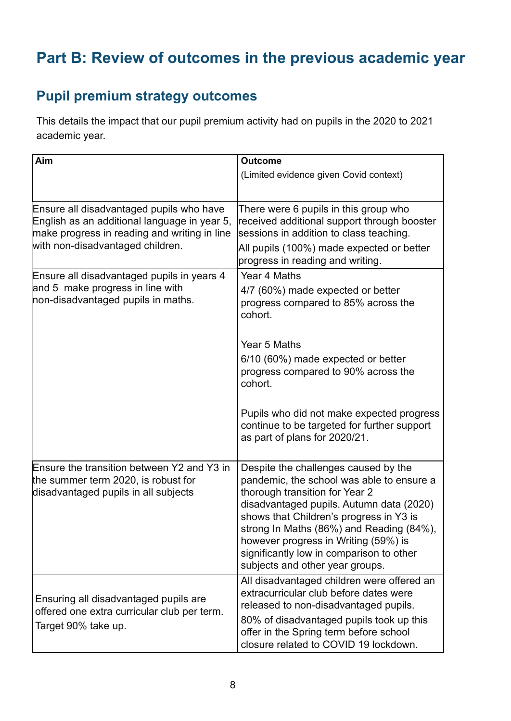# **Part B: Review of outcomes in the previous academic year**

### **Pupil premium strategy outcomes**

This details the impact that our pupil premium activity had on pupils in the 2020 to 2021 academic year.

| Aim                                                                                                                                                                          | <b>Outcome</b>                                                                                                                                                                                                                                                                                                                                                                |
|------------------------------------------------------------------------------------------------------------------------------------------------------------------------------|-------------------------------------------------------------------------------------------------------------------------------------------------------------------------------------------------------------------------------------------------------------------------------------------------------------------------------------------------------------------------------|
|                                                                                                                                                                              | (Limited evidence given Covid context)                                                                                                                                                                                                                                                                                                                                        |
|                                                                                                                                                                              |                                                                                                                                                                                                                                                                                                                                                                               |
| Ensure all disadvantaged pupils who have<br>English as an additional language in year 5,<br>make progress in reading and writing in line<br>with non-disadvantaged children. | There were 6 pupils in this group who<br>received additional support through booster<br>sessions in addition to class teaching.<br>All pupils (100%) made expected or better<br>progress in reading and writing.                                                                                                                                                              |
| Ensure all disadvantaged pupils in years 4<br>and 5 make progress in line with<br>non-disadvantaged pupils in maths.                                                         | Year 4 Maths<br>4/7 (60%) made expected or better<br>progress compared to 85% across the<br>cohort.                                                                                                                                                                                                                                                                           |
|                                                                                                                                                                              | Year 5 Maths<br>6/10 (60%) made expected or better<br>progress compared to 90% across the<br>cohort.                                                                                                                                                                                                                                                                          |
|                                                                                                                                                                              | Pupils who did not make expected progress<br>continue to be targeted for further support<br>as part of plans for 2020/21.                                                                                                                                                                                                                                                     |
| Ensure the transition between Y2 and Y3 in<br>the summer term 2020, is robust for<br>disadvantaged pupils in all subjects                                                    | Despite the challenges caused by the<br>pandemic, the school was able to ensure a<br>thorough transition for Year 2<br>disadvantaged pupils. Autumn data (2020)<br>shows that Children's progress in Y3 is<br>strong In Maths (86%) and Reading (84%),<br>however progress in Writing (59%) is<br>significantly low in comparison to other<br>subjects and other year groups. |
| Ensuring all disadvantaged pupils are<br>offered one extra curricular club per term.<br>Target 90% take up.                                                                  | All disadvantaged children were offered an<br>extracurricular club before dates were<br>released to non-disadvantaged pupils.<br>80% of disadvantaged pupils took up this<br>offer in the Spring term before school<br>closure related to COVID 19 lockdown.                                                                                                                  |